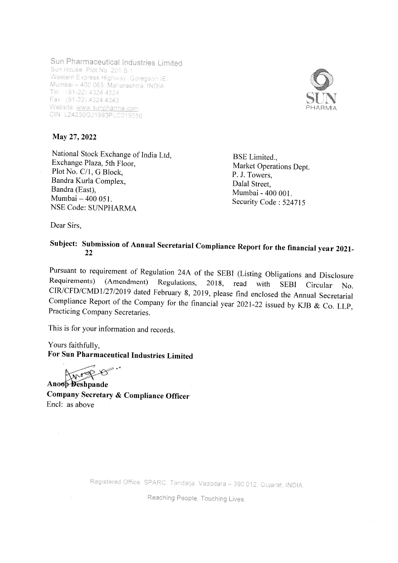## Sun Pharmaceutical Industries Limited

Sun House. Plot No. 201 B/1,<br>Western Express Highway, Goregaon (E), Wumbai -- 400 063, Maharashtra, INDIA.<br>Tel. : (91-22) 4324 4324<br>Fax: (91-22) 4324 4343 Website: www.sunpharma.com<br>CIN: L24230GJ1993PLC019050



National Stock Exchange of India Ltd,<br>Exchange Plaza, 5th Floor,<br>Plot No. C/1, G Block, Bandra Kurla Complex, Bandra (East), Mumbai - 400 051. NSE Code: SUNPHARMA

BSE Limited., Market Operations Dept. P. J. Towers, Dalal Street, Mumbai - 400 001. Security Code: 524715

Dear Sirs,

## Subject: Submission of Annual Secretarial Compliance Report for the financial year 2021- <sup>22</sup>

Pursuant to requirement of Regulation 24A of the SEBI (Listing Obligations and Disclosure Requirements) (Amendment) Regulations, 2018, read with SEBI Circular No. CIR/CFD/CMD1/27/2019 dated February 8, 2019, please find en

This is for your information and records.

Yours faithfully, For Sun Pharmaceutical Industries Limited

Anopheshpande

Company Secretary & Compliance Officer Encl: as above

Registered Office: SPARC, Tandalja, Vadodara - 390 012, Gujarat, INDIA.

Reaching People. Touching Lives.

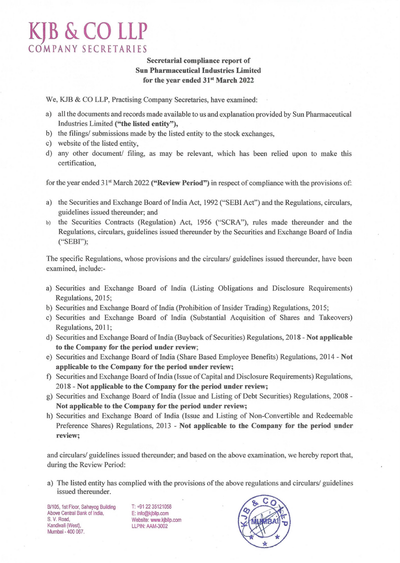## **KJB &CO LLP COMPANY SEC RETA RIES**

## **Secretarial compliance report of Sun Pharmaceutical Industries Limited**  for the year ended 31<sup>st</sup> March 2022

We, KJB & CO LLP, Practising Company Secretaries, have examined:

- a) all the documents and records made available to us and explanation provided by Sun Pharmaceutical Industries Limited **("the listed entity"),**
- b) the filings/ submissions made by the listed entity to the stock exchanges,
- c) website of the listed entity,
- d) any other document/ filing, as may be relevant, which has been relied upon to make this cettification,

for the year ended 31<sup>st</sup> March 2022 ("Review Period") in respect of compliance with the provisions of:

- a) the Securities and Exchange Board of India Act, 1992 ("SEBI Act") and the Regulations, circulars, guidelines issued thereunder; and
- b) the Securities Contracts (Regulation) Act, 1956 ("SCRA"), rules made thereunder and the Regulations, circulars, guidelines issued thereunder by the Securities and Exchange Board of India ("SEBI");

The specific Regulations, whose provisions and the circulars/ guidelines issued thereunder, have been examined, include:-

- a) Securities and Exchange Board of India (Listing Obligations and Disclosure Requirements) Regulations, 2015;
- b) Securities and Exchange Board of India (Prohibition of Insider Trading) Regulations, 20 15;
- c) Securities and Exchange Board of India (Substantial Acquisition of Shares and Takeovers) Regulations, 2011;
- d) Securities and Exchange Board of India (Buyback of Securities) Regulations, 2018 **Not applicable to the Company for the period under review;**
- e) Securities and Exchange Board of India (Share Based Employee Benefits) Regulations, 2014- **Not applicable to the Company for the period under review;**
- f) Securities and Exchange Board of India (Issue of Capital and Disclosure Requirements) Regulations, 2018- **Not applicable to the Company for the period under review;**
- g) Securities and Exchange Board of India (Issue and Listing of Debt Securities) Regulations, 2008- **Not applicable to the Company for the period under review;**
- h) Securities and Exchange Board of India (Issue and Listing of Non-Convertible and Redeemable Preference Shares) Regulations, 2013 - Not applicable to the Company for the period under **review;**

and circulars/ guidelines issued thereunder; and based on the above examination, we hereby report that, during the Review Period:

a) The listed entity has complied with the provisions of the above regulations and circulars/ guidelines issued thereunder.

B/105, 1st Floor, Sahayog Building Above Central Bank of India, S. V. Road, Kandivali (West), Mumbai - 400 067.

T: +91 22 35121058 E: info@kjbllp.com Website: www.kjbllp.com LLPIN: AAM-3002